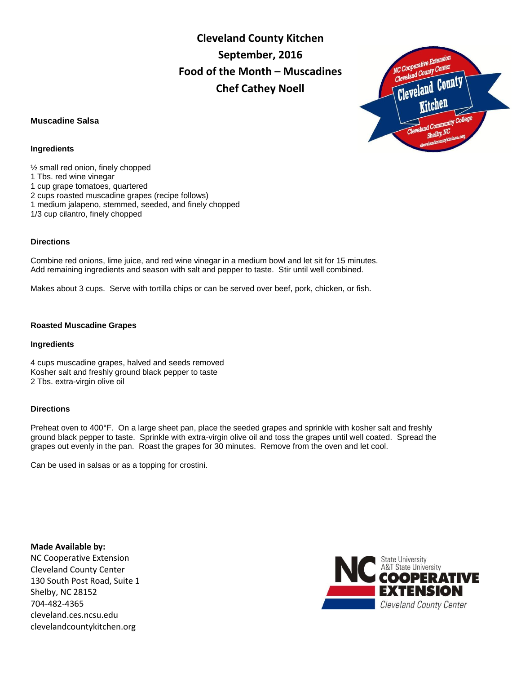**Cleveland County Kitchen September, 2016 Food of the Month – Muscadines Chef Cathey Noell**

# **Muscadine Salsa**

### **Ingredients**

½ small red onion, finely chopped 1 Tbs. red wine vinegar 1 cup grape tomatoes, quartered 2 cups roasted muscadine grapes (recipe follows) 1 medium jalapeno, stemmed, seeded, and finely chopped 1/3 cup cilantro, finely chopped

# **Directions**

Combine red onions, lime juice, and red wine vinegar in a medium bowl and let sit for 15 minutes. Add remaining ingredients and season with salt and pepper to taste. Stir until well combined.

Makes about 3 cups. Serve with tortilla chips or can be served over beef, pork, chicken, or fish.

#### **Roasted Muscadine Grapes**

#### **Ingredients**

4 cups muscadine grapes, halved and seeds removed Kosher salt and freshly ground black pepper to taste 2 Tbs. extra-virgin olive oil

## **Directions**

Preheat oven to 400°F. On a large sheet pan, place the seeded grapes and sprinkle with kosher salt and freshly ground black pepper to taste. Sprinkle with extra-virgin olive oil and toss the grapes until well coated. Spread the grapes out evenly in the pan. Roast the grapes for 30 minutes. Remove from the oven and let cool.

Can be used in salsas or as a topping for crostini.

**Made Available by:**  NC Cooperative Extension Cleveland County Center 130 South Post Road, Suite 1 Shelby, NC 28152 704-482-4365 cleveland.ces.ncsu.edu clevelandcountykitchen.org